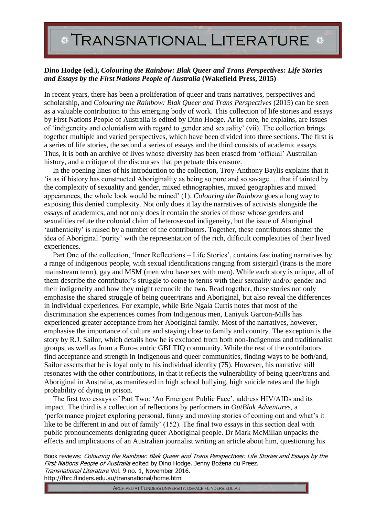## *\** **TRANSNATIONAL LITERATURE**

## **Dino Hodge (ed.),** *Colouring the Rainbow: Blak Queer and Trans Perspectives: Life Stories and Essays by the First Nations People of Australia* **(Wakefield Press, 2015)**

In recent years, there has been a proliferation of queer and trans narratives, perspectives and scholarship, and *Colouring the Rainbow: Blak Queer and Trans Perspectives* (2015) can be seen as a valuable contribution to this emerging body of work. This collection of life stories and essays by First Nations People of Australia is edited by Dino Hodge. At its core, he explains, are issues of 'indigeneity and colonialism with regard to gender and sexuality' (vii). The collection brings together multiple and varied perspectives, which have been divided into three sections. The first is a series of life stories, the second a series of essays and the third consists of academic essays. Thus, it is both an archive of lives whose diversity has been erased from 'official' Australian history, and a critique of the discourses that perpetuate this erasure.

In the opening lines of his introduction to the collection, Troy-Anthony Baylis explains that it 'is as if history has constructed Aboriginality as being so pure and so savage … that if tainted by the complexity of sexuality and gender, mixed ethnographies, mixed geographies and mixed appearances, the whole look would be ruined' (1). *Colouring the Rainbow* goes a long way to exposing this denied complexity. Not only does it lay the narratives of activists alongside the essays of academics, and not only does it contain the stories of those whose genders and sexualities refute the colonial claim of heterosexual indigeneity, but the issue of Aboriginal 'authenticity' is raised by a number of the contributors. Together, these contributors shatter the idea of Aboriginal 'purity' with the representation of the rich, difficult complexities of their lived experiences.

Part One of the collection, 'Inner Reflections – Life Stories', contains fascinating narratives by a range of indigenous people, with sexual identifications ranging from sistergirl (trans is the more mainstream term), gay and MSM (men who have sex with men). While each story is unique, all of them describe the contributor's struggle to come to terms with their sexuality and/or gender and their indigeneity and how they might reconcile the two. Read together, these stories not only emphasise the shared struggle of being queer/trans and Aboriginal, but also reveal the differences in individual experiences. For example, while Brie Ngala Curtis notes that most of the discrimination she experiences comes from Indigenous men, Laniyuk Garcon-Mills has experienced greater acceptance from her Aboriginal family. Most of the narratives, however, emphasise the importance of culture and staying close to family and country. The exception is the story by R.J. Sailor, which details how he is excluded from both non-Indigenous and traditionalist groups, as well as from a Euro-centric GBLTIQ community. While the rest of the contributors find acceptance and strength in Indigenous and queer communities, finding ways to be both/and, Sailor asserts that he is loyal only to his individual identity (75). However, his narrative still resonates with the other contributions, in that it reflects the vulnerability of being queer/trans and Aboriginal in Australia, as manifested in high school bullying, high suicide rates and the high probability of dying in prison.

The first two essays of Part Two: 'An Emergent Public Face', address HIV/AIDs and its impact. The third is a collection of reflections by performers in *OutBlak Adventures*, a 'performance project exploring personal, funny and moving stories of coming out and what's it like to be different in and out of family' (152). The final two essays in this section deal with public pronouncements denigrating queer Aboriginal people. Dr Mark McMillan unpacks the effects and implications of an Australian journalist writing an article about him, questioning his

Book reviews: Colouring the Rainbow: Blak Queer and Trans Perspectives: Life Stories and Essays by the First Nations People of Australia edited by Dino Hodge. Jenny Boźena du Preez. Transnational Literature Vol. 9 no. 1, November 2016. http://fhrc.flinders.edu.au/transnational/home.html

ARCHIVED AT FLINDERS UNIVERSITY: DSPACE.FLINDERS.EDU.AU